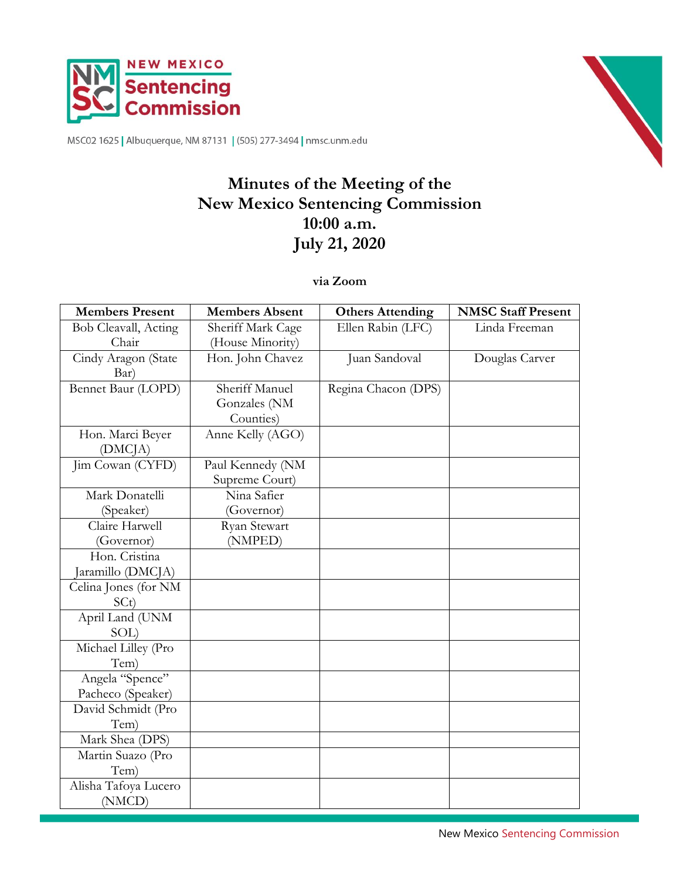

MSC02 1625 | Albuquerque, NM 87131 | (505) 277-3494 | nmsc.unm.edu



# **Minutes of the Meeting of the New Mexico Sentencing Commission 10:00 a.m. July 21, 2020**

**via Zoom**

| <b>Members Present</b> | <b>Members Absent</b> | <b>Others Attending</b> | <b>NMSC Staff Present</b> |
|------------------------|-----------------------|-------------------------|---------------------------|
| Bob Cleavall, Acting   | Sheriff Mark Cage     | Ellen Rabin (LFC)       | Linda Freeman             |
| Chair                  | (House Minority)      |                         |                           |
| Cindy Aragon (State    | Hon. John Chavez      | Juan Sandoval           | Douglas Carver            |
| Bar)                   |                       |                         |                           |
| Bennet Baur (LOPD)     | Sheriff Manuel        | Regina Chacon (DPS)     |                           |
|                        | Gonzales (NM          |                         |                           |
|                        | Counties)             |                         |                           |
| Hon. Marci Beyer       | Anne Kelly (AGO)      |                         |                           |
| (DMC <sub>IA</sub> )   |                       |                         |                           |
| Jim Cowan (CYFD)       | Paul Kennedy (NM      |                         |                           |
|                        | Supreme Court)        |                         |                           |
| Mark Donatelli         | Nina Safier           |                         |                           |
| (Speaker)              | (Governor)            |                         |                           |
| Claire Harwell         | Ryan Stewart          |                         |                           |
| (Governor)             | (NMPED)               |                         |                           |
| Hon. Cristina          |                       |                         |                           |
| Jaramillo (DMCJA)      |                       |                         |                           |
| Celina Jones (for NM   |                       |                         |                           |
| SCt)                   |                       |                         |                           |
| April Land (UNM        |                       |                         |                           |
| SOL)                   |                       |                         |                           |
| Michael Lilley (Pro    |                       |                         |                           |
| Tem)                   |                       |                         |                           |
| Angela "Spence"        |                       |                         |                           |
| Pacheco (Speaker)      |                       |                         |                           |
| David Schmidt (Pro     |                       |                         |                           |
| Tem)                   |                       |                         |                           |
| Mark Shea (DPS)        |                       |                         |                           |
| Martin Suazo (Pro      |                       |                         |                           |
| Tem)                   |                       |                         |                           |
| Alisha Tafoya Lucero   |                       |                         |                           |
| (NMCD)                 |                       |                         |                           |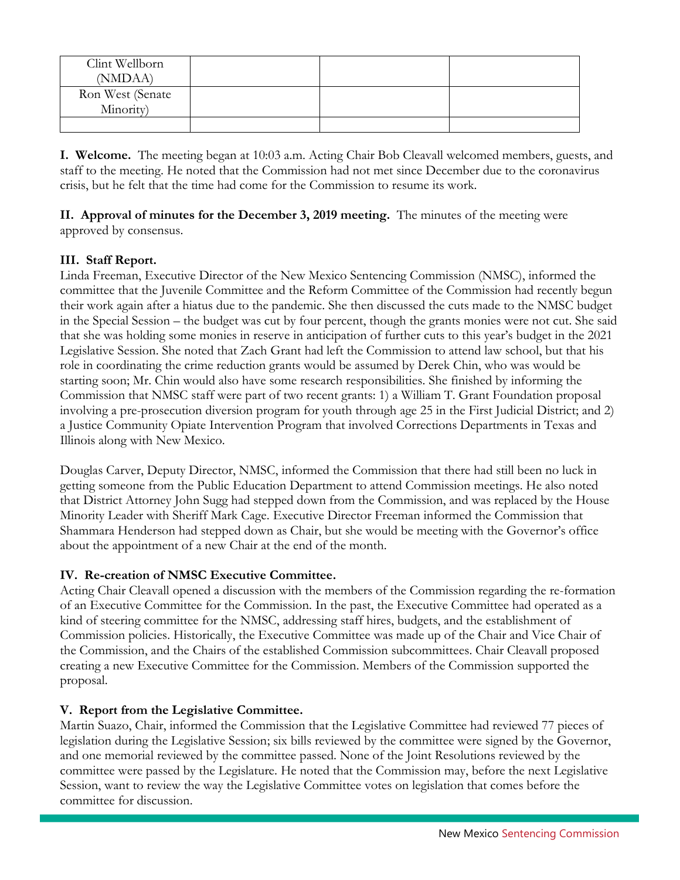| Clint Wellborn   |  |  |
|------------------|--|--|
| (NMDAA)          |  |  |
| Ron West (Senate |  |  |
| Minority)        |  |  |
|                  |  |  |

**I. Welcome.** The meeting began at 10:03 a.m. Acting Chair Bob Cleavall welcomed members, guests, and staff to the meeting. He noted that the Commission had not met since December due to the coronavirus crisis, but he felt that the time had come for the Commission to resume its work.

**II. Approval of minutes for the December 3, 2019 meeting.** The minutes of the meeting were approved by consensus.

# **III. Staff Report.**

Linda Freeman, Executive Director of the New Mexico Sentencing Commission (NMSC), informed the committee that the Juvenile Committee and the Reform Committee of the Commission had recently begun their work again after a hiatus due to the pandemic. She then discussed the cuts made to the NMSC budget in the Special Session – the budget was cut by four percent, though the grants monies were not cut. She said that she was holding some monies in reserve in anticipation of further cuts to this year's budget in the 2021 Legislative Session. She noted that Zach Grant had left the Commission to attend law school, but that his role in coordinating the crime reduction grants would be assumed by Derek Chin, who was would be starting soon; Mr. Chin would also have some research responsibilities. She finished by informing the Commission that NMSC staff were part of two recent grants: 1) a William T. Grant Foundation proposal involving a pre-prosecution diversion program for youth through age 25 in the First Judicial District; and 2) a Justice Community Opiate Intervention Program that involved Corrections Departments in Texas and Illinois along with New Mexico.

Douglas Carver, Deputy Director, NMSC, informed the Commission that there had still been no luck in getting someone from the Public Education Department to attend Commission meetings. He also noted that District Attorney John Sugg had stepped down from the Commission, and was replaced by the House Minority Leader with Sheriff Mark Cage. Executive Director Freeman informed the Commission that Shammara Henderson had stepped down as Chair, but she would be meeting with the Governor's office about the appointment of a new Chair at the end of the month.

# **IV. Re-creation of NMSC Executive Committee.**

Acting Chair Cleavall opened a discussion with the members of the Commission regarding the re-formation of an Executive Committee for the Commission. In the past, the Executive Committee had operated as a kind of steering committee for the NMSC, addressing staff hires, budgets, and the establishment of Commission policies. Historically, the Executive Committee was made up of the Chair and Vice Chair of the Commission, and the Chairs of the established Commission subcommittees. Chair Cleavall proposed creating a new Executive Committee for the Commission. Members of the Commission supported the proposal.

# **V. Report from the Legislative Committee.**

Martin Suazo, Chair, informed the Commission that the Legislative Committee had reviewed 77 pieces of legislation during the Legislative Session; six bills reviewed by the committee were signed by the Governor, and one memorial reviewed by the committee passed. None of the Joint Resolutions reviewed by the committee were passed by the Legislature. He noted that the Commission may, before the next Legislative Session, want to review the way the Legislative Committee votes on legislation that comes before the committee for discussion.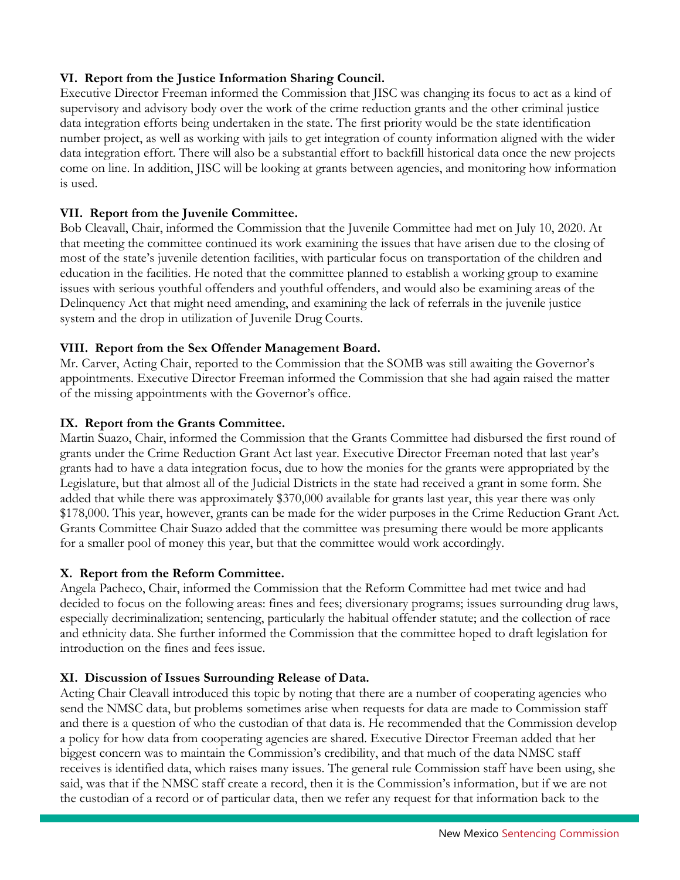# **VI. Report from the Justice Information Sharing Council.**

Executive Director Freeman informed the Commission that JISC was changing its focus to act as a kind of supervisory and advisory body over the work of the crime reduction grants and the other criminal justice data integration efforts being undertaken in the state. The first priority would be the state identification number project, as well as working with jails to get integration of county information aligned with the wider data integration effort. There will also be a substantial effort to backfill historical data once the new projects come on line. In addition, JISC will be looking at grants between agencies, and monitoring how information is used.

# **VII. Report from the Juvenile Committee.**

Bob Cleavall, Chair, informed the Commission that the Juvenile Committee had met on July 10, 2020. At that meeting the committee continued its work examining the issues that have arisen due to the closing of most of the state's juvenile detention facilities, with particular focus on transportation of the children and education in the facilities. He noted that the committee planned to establish a working group to examine issues with serious youthful offenders and youthful offenders, and would also be examining areas of the Delinquency Act that might need amending, and examining the lack of referrals in the juvenile justice system and the drop in utilization of Juvenile Drug Courts.

## **VIII. Report from the Sex Offender Management Board.**

Mr. Carver, Acting Chair, reported to the Commission that the SOMB was still awaiting the Governor's appointments. Executive Director Freeman informed the Commission that she had again raised the matter of the missing appointments with the Governor's office.

## **IX. Report from the Grants Committee.**

Martin Suazo, Chair, informed the Commission that the Grants Committee had disbursed the first round of grants under the Crime Reduction Grant Act last year. Executive Director Freeman noted that last year's grants had to have a data integration focus, due to how the monies for the grants were appropriated by the Legislature, but that almost all of the Judicial Districts in the state had received a grant in some form. She added that while there was approximately \$370,000 available for grants last year, this year there was only \$178,000. This year, however, grants can be made for the wider purposes in the Crime Reduction Grant Act. Grants Committee Chair Suazo added that the committee was presuming there would be more applicants for a smaller pool of money this year, but that the committee would work accordingly.

## **X. Report from the Reform Committee.**

Angela Pacheco, Chair, informed the Commission that the Reform Committee had met twice and had decided to focus on the following areas: fines and fees; diversionary programs; issues surrounding drug laws, especially decriminalization; sentencing, particularly the habitual offender statute; and the collection of race and ethnicity data. She further informed the Commission that the committee hoped to draft legislation for introduction on the fines and fees issue.

## **XI. Discussion of Issues Surrounding Release of Data.**

Acting Chair Cleavall introduced this topic by noting that there are a number of cooperating agencies who send the NMSC data, but problems sometimes arise when requests for data are made to Commission staff and there is a question of who the custodian of that data is. He recommended that the Commission develop a policy for how data from cooperating agencies are shared. Executive Director Freeman added that her biggest concern was to maintain the Commission's credibility, and that much of the data NMSC staff receives is identified data, which raises many issues. The general rule Commission staff have been using, she said, was that if the NMSC staff create a record, then it is the Commission's information, but if we are not the custodian of a record or of particular data, then we refer any request for that information back to the